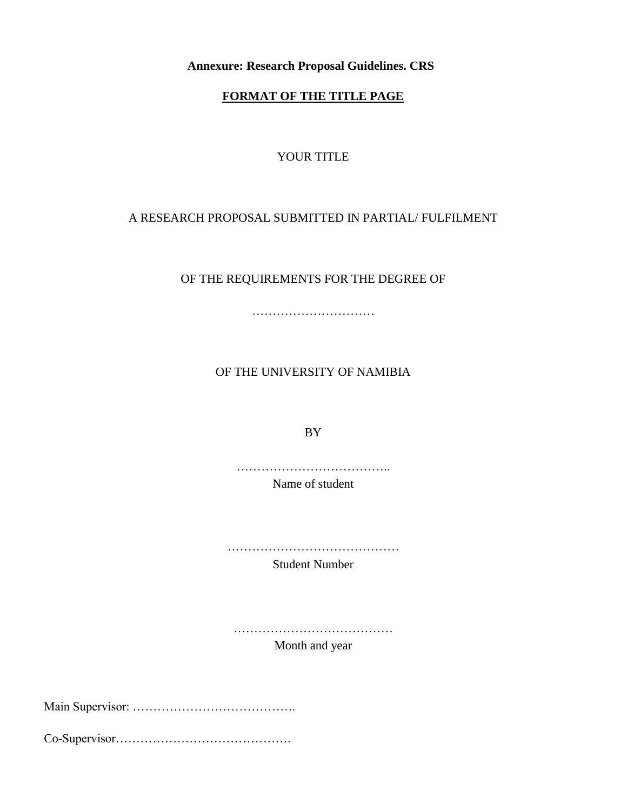**Annexure: Research Proposal Guidelines. CRS** 

## **FORMAT OF THE TITLE PAGE**

## YOUR TITLE

## A RESEARCH PROPOSAL SUBMITTED IN PARTIAL/ FULFILMENT

OF THE REQUIREMENTS FOR THE DEGREE OF

………………………………………

OF THE UNIVERSITY OF NAMIBIA

BY

………………………………..

Name of student

……………………………………

Student Number

……………………………………………

Month and year

Main Supervisor: ………………………………….

Co-Supervisor…………………………………….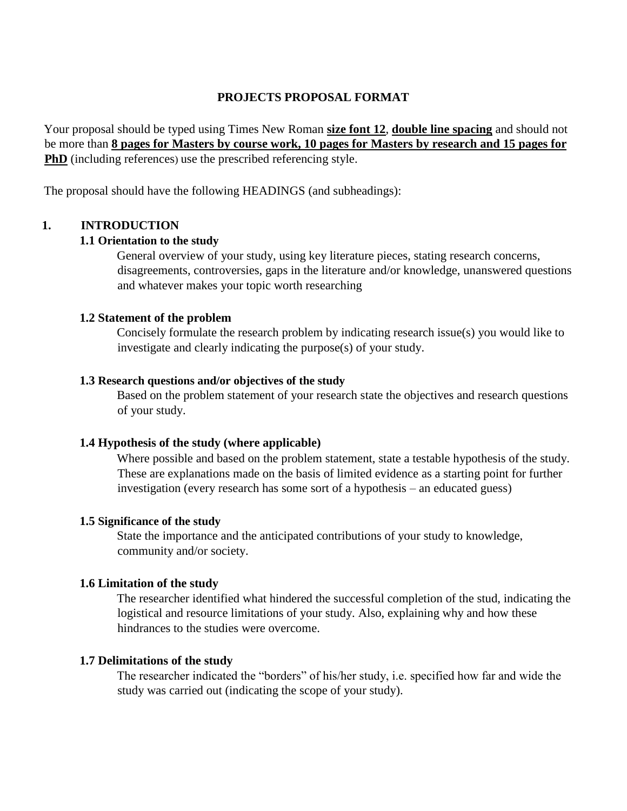### **PROJECTS PROPOSAL FORMAT**

Your proposal should be typed using Times New Roman **size font 12**, **double line spacing** and should not be more than **8 pages for Masters by course work, 10 pages for Masters by research and 15 pages for PhD** (including references) use the prescribed referencing style.

The proposal should have the following HEADINGS (and subheadings):

## **1. INTRODUCTION**

## **1.1 Orientation to the study**

General overview of your study, using key literature pieces, stating research concerns, disagreements, controversies, gaps in the literature and/or knowledge, unanswered questions and whatever makes your topic worth researching

## **1.2 Statement of the problem**

Concisely formulate the research problem by indicating research issue(s) you would like to investigate and clearly indicating the purpose(s) of your study.

## **1.3 Research questions and/or objectives of the study**

Based on the problem statement of your research state the objectives and research questions of your study.

## **1.4 Hypothesis of the study (where applicable)**

Where possible and based on the problem statement, state a testable hypothesis of the study. These are explanations made on the basis of limited evidence as a starting point for further investigation (every research has some sort of a hypothesis – an educated guess)

### **1.5 Significance of the study**

State the importance and the anticipated contributions of your study to knowledge, community and/or society.

### **1.6 Limitation of the study**

The researcher identified what hindered the successful completion of the stud, indicating the logistical and resource limitations of your study. Also, explaining why and how these hindrances to the studies were overcome.

### **1.7 Delimitations of the study**

The researcher indicated the "borders" of his/her study, i.e. specified how far and wide the study was carried out (indicating the scope of your study).